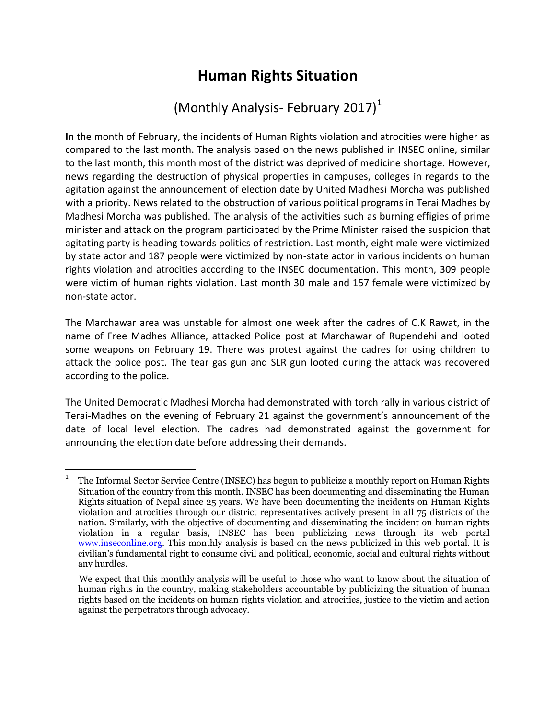## **Human Rights Situation**

## (Monthly Analysis- February 2017) $<sup>1</sup>$ </sup>

**I**n the month of February, the incidents of Human Rights violation and atrocities were higher as compared to the last month. The analysis based on the news published in INSEC online, similar to the last month, this month most of the district was deprived of medicine shortage. However, news regarding the destruction of physical properties in campuses, colleges in regards to the agitation against the announcement of election date by United Madhesi Morcha was published with a priority. News related to the obstruction of various political programs in Terai Madhes by Madhesi Morcha was published. The analysis of the activities such as burning effigies of prime minister and attack on the program participated by the Prime Minister raised the suspicion that agitating party is heading towards politics of restriction. Last month, eight male were victimized by state actor and 187 people were victimized by non-state actor in various incidents on human rights violation and atrocities according to the INSEC documentation. This month, 309 people were victim of human rights violation. Last month 30 male and 157 female were victimized by non-state actor.

The Marchawar area was unstable for almost one week after the cadres of C.K Rawat, in the name of Free Madhes Alliance, attacked Police post at Marchawar of Rupendehi and looted some weapons on February 19. There was protest against the cadres for using children to attack the police post. The tear gas gun and SLR gun looted during the attack was recovered according to the police.

The United Democratic Madhesi Morcha had demonstrated with torch rally in various district of Terai-Madhes on the evening of February 21 against the government's announcement of the date of local level election. The cadres had demonstrated against the government for announcing the election date before addressing their demands.

 $\overline{\phantom{a}}$ 

<sup>1</sup> The Informal Sector Service Centre (INSEC) has begun to publicize a monthly report on Human Rights Situation of the country from this month. INSEC has been documenting and disseminating the Human Rights situation of Nepal since 25 years. We have been documenting the incidents on Human Rights violation and atrocities through our district representatives actively present in all 75 districts of the nation. Similarly, with the objective of documenting and disseminating the incident on human rights violation in a regular basis, INSEC has been publicizing news through its web portal [www.inseconline.org.](http://www.inseconline.org/) This monthly analysis is based on the news publicized in this web portal. It is civilian's fundamental right to consume civil and political, economic, social and cultural rights without any hurdles.

We expect that this monthly analysis will be useful to those who want to know about the situation of human rights in the country, making stakeholders accountable by publicizing the situation of human rights based on the incidents on human rights violation and atrocities, justice to the victim and action against the perpetrators through advocacy.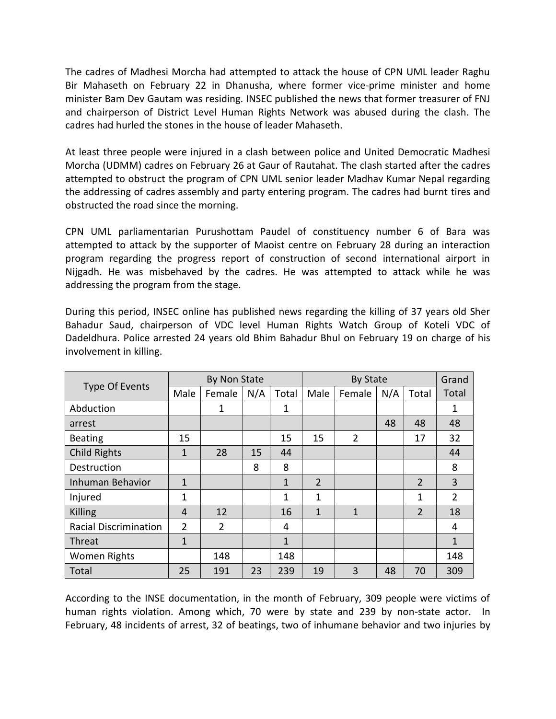The cadres of Madhesi Morcha had attempted to attack the house of CPN UML leader Raghu Bir Mahaseth on February 22 in Dhanusha, where former vice-prime minister and home minister Bam Dev Gautam was residing. INSEC published the news that former treasurer of FNJ and chairperson of District Level Human Rights Network was abused during the clash. The cadres had hurled the stones in the house of leader Mahaseth.

At least three people were injured in a clash between police and United Democratic Madhesi Morcha (UDMM) cadres on February 26 at Gaur of Rautahat. The clash started after the cadres attempted to obstruct the program of CPN UML senior leader Madhav Kumar Nepal regarding the addressing of cadres assembly and party entering program. The cadres had burnt tires and obstructed the road since the morning.

CPN UML parliamentarian Purushottam Paudel of constituency number 6 of Bara was attempted to attack by the supporter of Maoist centre on February 28 during an interaction program regarding the progress report of construction of second international airport in Nijgadh. He was misbehaved by the cadres. He was attempted to attack while he was addressing the program from the stage.

During this period, INSEC online has published news regarding the killing of 37 years old Sher Bahadur Saud, chairperson of VDC level Human Rights Watch Group of Koteli VDC of Dadeldhura. Police arrested 24 years old Bhim Bahadur Bhul on February 19 on charge of his involvement in killing.

| Type Of Events               | By Non State |                |     |              | <b>By State</b> |                |     |                | Grand          |
|------------------------------|--------------|----------------|-----|--------------|-----------------|----------------|-----|----------------|----------------|
|                              | Male         | Female         | N/A | Total        | Male            | Female         | N/A | Total          | Total          |
| Abduction                    |              | 1              |     | 1            |                 |                |     |                | 1              |
| arrest                       |              |                |     |              |                 |                | 48  | 48             | 48             |
| <b>Beating</b>               | 15           |                |     | 15           | 15              | $\overline{2}$ |     | 17             | 32             |
| <b>Child Rights</b>          | 1            | 28             | 15  | 44           |                 |                |     |                | 44             |
| Destruction                  |              |                | 8   | 8            |                 |                |     |                | 8              |
| <b>Inhuman Behavior</b>      | $\mathbf{1}$ |                |     | 1            | $\overline{2}$  |                |     | $\overline{2}$ | 3              |
| Injured                      | 1            |                |     | 1            | 1               |                |     | 1              | $\overline{2}$ |
| Killing                      | 4            | 12             |     | 16           | $\mathbf{1}$    | $\mathbf{1}$   |     | $\overline{2}$ | 18             |
| <b>Racial Discrimination</b> | 2            | $\overline{2}$ |     | 4            |                 |                |     |                | 4              |
| Threat                       | 1            |                |     | $\mathbf{1}$ |                 |                |     |                | 1              |
| <b>Women Rights</b>          |              | 148            |     | 148          |                 |                |     |                | 148            |
| Total                        | 25           | 191            | 23  | 239          | 19              | 3              | 48  | 70             | 309            |

According to the INSE documentation, in the month of February, 309 people were victims of human rights violation. Among which, 70 were by state and 239 by non-state actor. In February, 48 incidents of arrest, 32 of beatings, two of inhumane behavior and two injuries by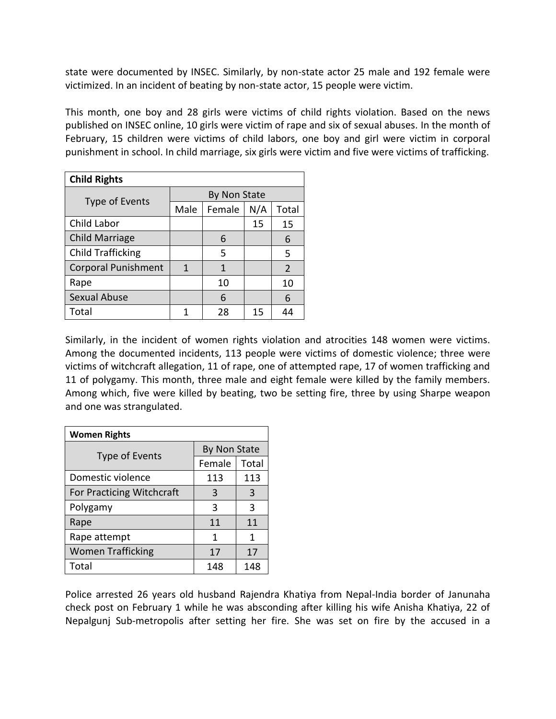state were documented by INSEC. Similarly, by non-state actor 25 male and 192 female were victimized. In an incident of beating by non-state actor, 15 people were victim.

This month, one boy and 28 girls were victims of child rights violation. Based on the news published on INSEC online, 10 girls were victim of rape and six of sexual abuses. In the month of February, 15 children were victims of child labors, one boy and girl were victim in corporal punishment in school. In child marriage, six girls were victim and five were victims of trafficking.

| <b>Child Rights</b>        |              |        |     |                |  |  |  |
|----------------------------|--------------|--------|-----|----------------|--|--|--|
| Type of Events             | By Non State |        |     |                |  |  |  |
|                            | Male         | Female | N/A | Total          |  |  |  |
| Child Labor                |              |        | 15  | 15             |  |  |  |
| <b>Child Marriage</b>      |              | 6      |     | 6              |  |  |  |
| <b>Child Trafficking</b>   |              | 5      |     | 5              |  |  |  |
| <b>Corporal Punishment</b> | 1            | 1      |     | $\overline{2}$ |  |  |  |
| Rape                       |              | 10     |     | 10             |  |  |  |
| <b>Sexual Abuse</b>        |              | 6      |     | 6              |  |  |  |
| Total                      |              | 28     | 15  | 44             |  |  |  |

Similarly, in the incident of women rights violation and atrocities 148 women were victims. Among the documented incidents, 113 people were victims of domestic violence; three were victims of witchcraft allegation, 11 of rape, one of attempted rape, 17 of women trafficking and 11 of polygamy. This month, three male and eight female were killed by the family members. Among which, five were killed by beating, two be setting fire, three by using Sharpe weapon and one was strangulated.

| <b>Women Rights</b>       |              |       |  |  |  |
|---------------------------|--------------|-------|--|--|--|
| Type of Events            | By Non State |       |  |  |  |
|                           | Female       | Total |  |  |  |
| Domestic violence         | 113          | 113   |  |  |  |
| For Practicing Witchcraft | 3            | 3     |  |  |  |
| Polygamy                  | 3            | 3     |  |  |  |
| Rape                      | 11           | 11    |  |  |  |
| Rape attempt              | 1            | 1     |  |  |  |
| <b>Women Trafficking</b>  | 17           | 17    |  |  |  |
| Total                     | 148          | 148   |  |  |  |

Police arrested 26 years old husband Rajendra Khatiya from Nepal-India border of Janunaha check post on February 1 while he was absconding after killing his wife Anisha Khatiya, 22 of Nepalgunj Sub-metropolis after setting her fire. She was set on fire by the accused in a